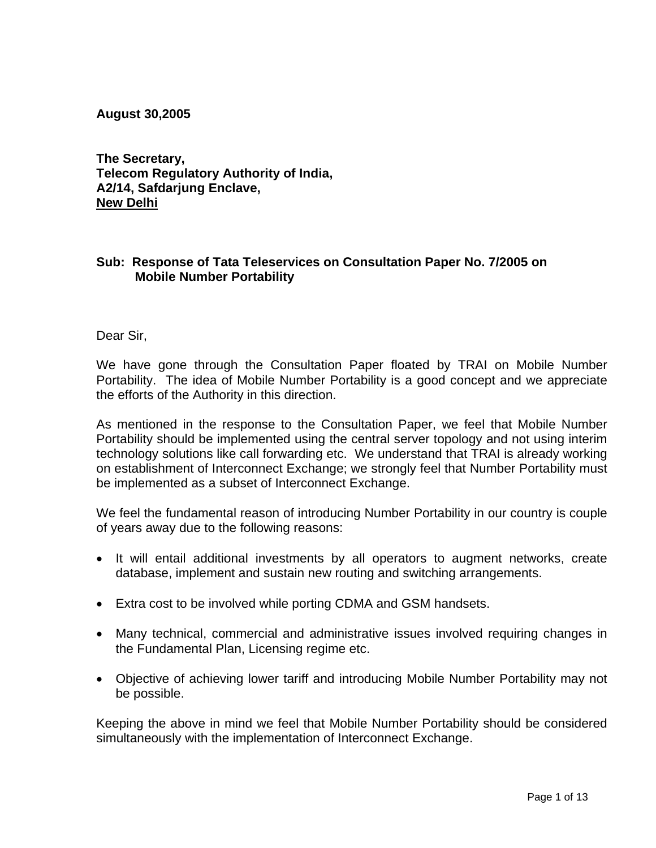**August 30,2005** 

**The Secretary, Telecom Regulatory Authority of India, A2/14, Safdarjung Enclave, New Delhi**

## **Sub: Response of Tata Teleservices on Consultation Paper No. 7/2005 on Mobile Number Portability**

Dear Sir,

We have gone through the Consultation Paper floated by TRAI on Mobile Number Portability. The idea of Mobile Number Portability is a good concept and we appreciate the efforts of the Authority in this direction.

As mentioned in the response to the Consultation Paper, we feel that Mobile Number Portability should be implemented using the central server topology and not using interim technology solutions like call forwarding etc. We understand that TRAI is already working on establishment of Interconnect Exchange; we strongly feel that Number Portability must be implemented as a subset of Interconnect Exchange.

We feel the fundamental reason of introducing Number Portability in our country is couple of years away due to the following reasons:

- It will entail additional investments by all operators to augment networks, create database, implement and sustain new routing and switching arrangements.
- Extra cost to be involved while porting CDMA and GSM handsets.
- Many technical, commercial and administrative issues involved requiring changes in the Fundamental Plan, Licensing regime etc.
- Objective of achieving lower tariff and introducing Mobile Number Portability may not be possible.

Keeping the above in mind we feel that Mobile Number Portability should be considered simultaneously with the implementation of Interconnect Exchange.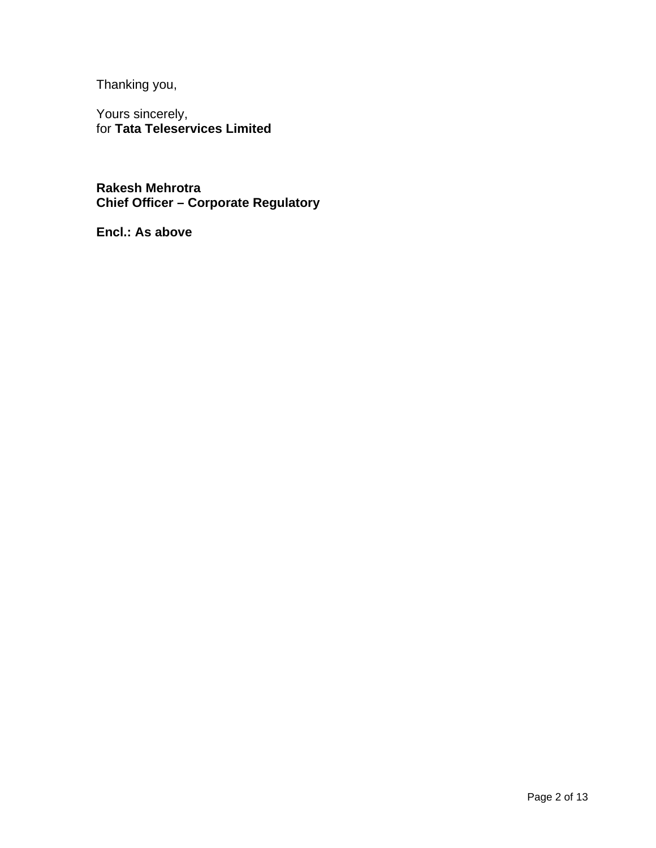Thanking you,

Yours sincerely, for **Tata Teleservices Limited**

**Rakesh Mehrotra Chief Officer – Corporate Regulatory**

**Encl.: As above**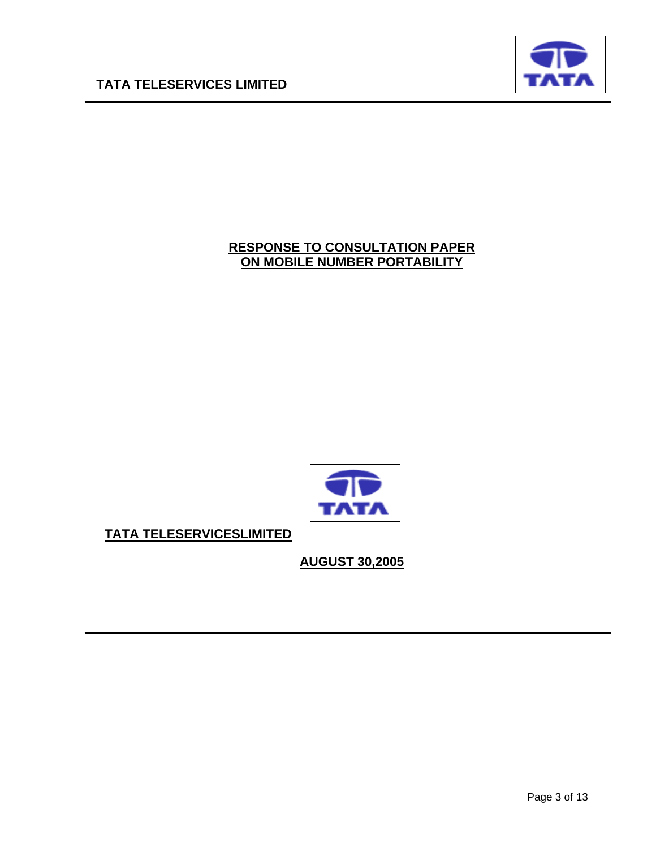

# **RESPONSE TO CONSULTATION PAPER ON MOBILE NUMBER PORTABILITY**



**TATA TELESERVICESLIMITED**

**AUGUST 30,2005**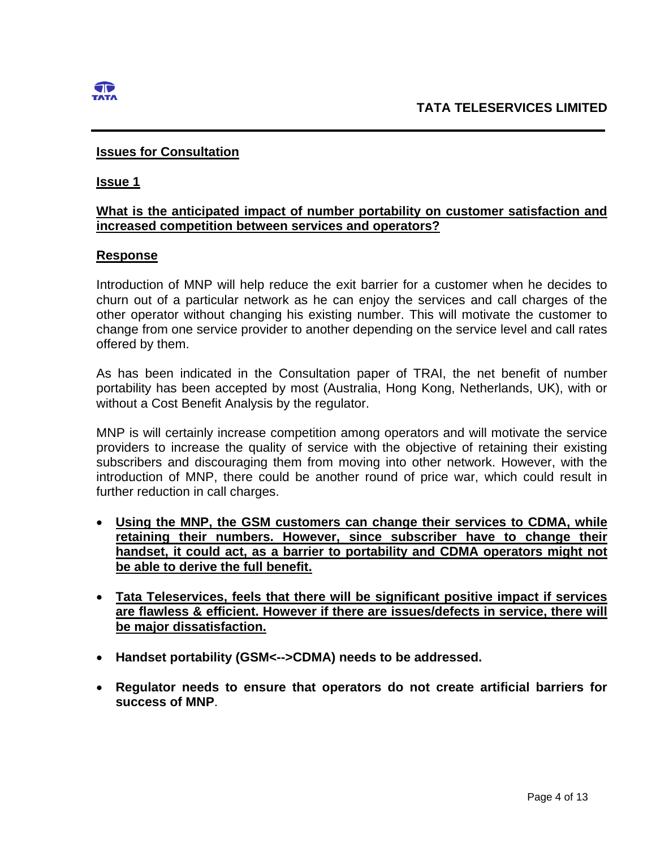

# **Issues for Consultation**

### **Issue 1**

# **What is the anticipated impact of number portability on customer satisfaction and increased competition between services and operators?**

## **Response**

Introduction of MNP will help reduce the exit barrier for a customer when he decides to churn out of a particular network as he can enjoy the services and call charges of the other operator without changing his existing number. This will motivate the customer to change from one service provider to another depending on the service level and call rates offered by them.

As has been indicated in the Consultation paper of TRAI, the net benefit of number portability has been accepted by most (Australia, Hong Kong, Netherlands, UK), with or without a Cost Benefit Analysis by the regulator.

MNP is will certainly increase competition among operators and will motivate the service providers to increase the quality of service with the objective of retaining their existing subscribers and discouraging them from moving into other network. However, with the introduction of MNP, there could be another round of price war, which could result in further reduction in call charges.

- **Using the MNP, the GSM customers can change their services to CDMA, while retaining their numbers. However, since subscriber have to change their handset, it could act, as a barrier to portability and CDMA operators might not be able to derive the full benefit.**
- **Tata Teleservices, feels that there will be significant positive impact if services are flawless & efficient. However if there are issues/defects in service, there will be major dissatisfaction.**
- **Handset portability (GSM<-->CDMA) needs to be addressed.**
- **Regulator needs to ensure that operators do not create artificial barriers for success of MNP**.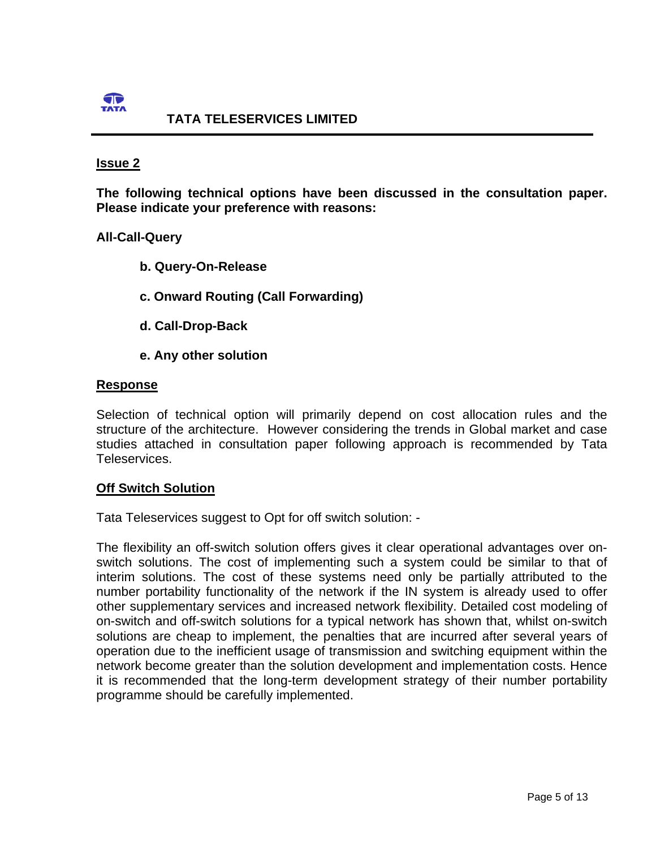

# **TATA TELESERVICES LIMITED**

### **Issue 2**

**The following technical options have been discussed in the consultation paper. Please indicate your preference with reasons:** 

## **All-Call-Query**

- **b. Query-On-Release**
- **c. Onward Routing (Call Forwarding)**
- **d. Call-Drop-Back**
- **e. Any other solution**

## **Response**

Selection of technical option will primarily depend on cost allocation rules and the structure of the architecture. However considering the trends in Global market and case studies attached in consultation paper following approach is recommended by Tata Teleservices.

## **Off Switch Solution**

Tata Teleservices suggest to Opt for off switch solution: -

The flexibility an off-switch solution offers gives it clear operational advantages over onswitch solutions. The cost of implementing such a system could be similar to that of interim solutions. The cost of these systems need only be partially attributed to the number portability functionality of the network if the IN system is already used to offer other supplementary services and increased network flexibility. Detailed cost modeling of on-switch and off-switch solutions for a typical network has shown that, whilst on-switch solutions are cheap to implement, the penalties that are incurred after several years of operation due to the inefficient usage of transmission and switching equipment within the network become greater than the solution development and implementation costs. Hence it is recommended that the long-term development strategy of their number portability programme should be carefully implemented.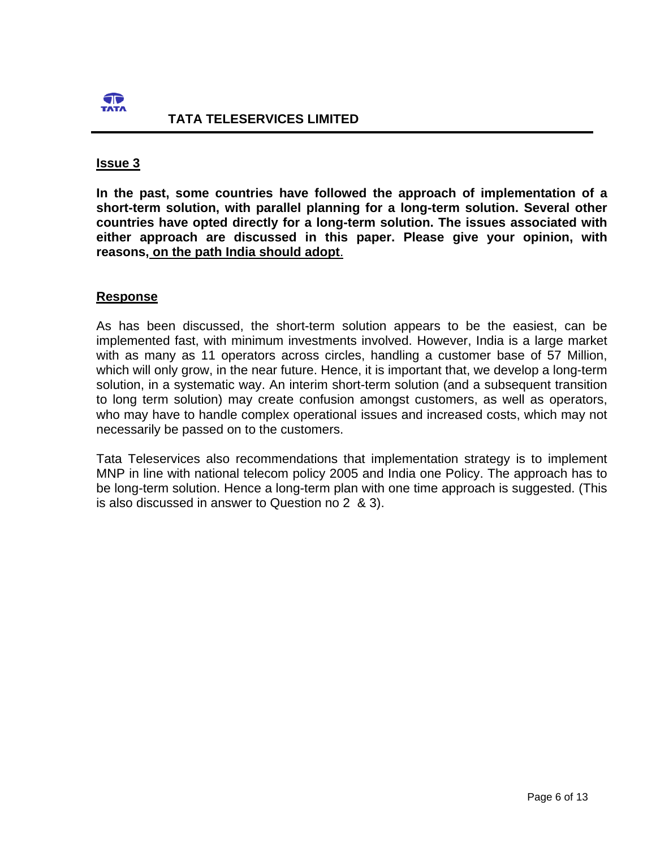

**In the past, some countries have followed the approach of implementation of a short-term solution, with parallel planning for a long-term solution. Several other countries have opted directly for a long-term solution. The issues associated with either approach are discussed in this paper. Please give your opinion, with reasons, on the path India should adopt**.

## **Response**

As has been discussed, the short-term solution appears to be the easiest, can be implemented fast, with minimum investments involved. However, India is a large market with as many as 11 operators across circles, handling a customer base of 57 Million, which will only grow, in the near future. Hence, it is important that, we develop a long-term solution, in a systematic way. An interim short-term solution (and a subsequent transition to long term solution) may create confusion amongst customers, as well as operators, who may have to handle complex operational issues and increased costs, which may not necessarily be passed on to the customers.

Tata Teleservices also recommendations that implementation strategy is to implement MNP in line with national telecom policy 2005 and India one Policy. The approach has to be long-term solution. Hence a long-term plan with one time approach is suggested. (This is also discussed in answer to Question no 2 & 3).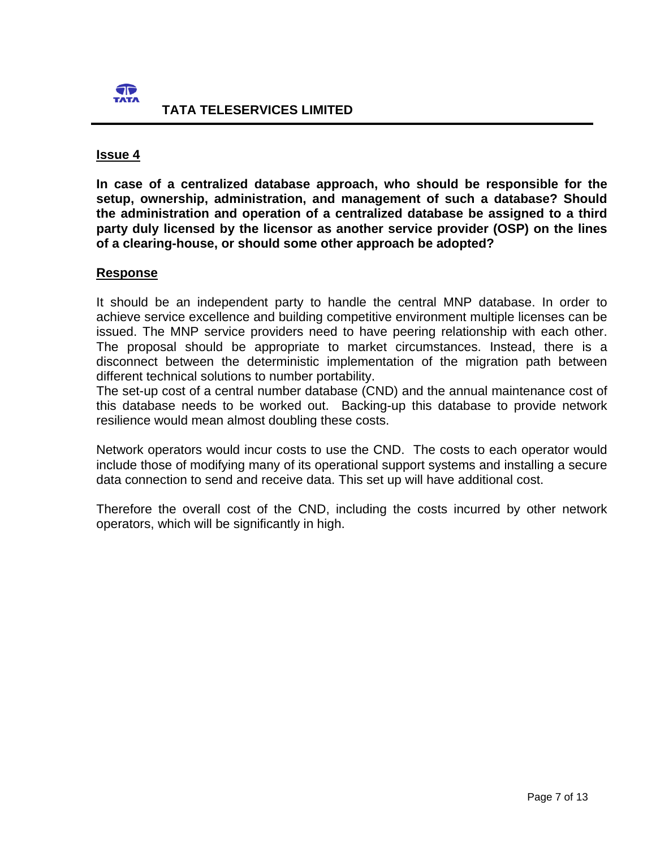

**In case of a centralized database approach, who should be responsible for the setup, ownership, administration, and management of such a database? Should the administration and operation of a centralized database be assigned to a third party duly licensed by the licensor as another service provider (OSP) on the lines of a clearing-house, or should some other approach be adopted?** 

## **Response**

It should be an independent party to handle the central MNP database. In order to achieve service excellence and building competitive environment multiple licenses can be issued. The MNP service providers need to have peering relationship with each other. The proposal should be appropriate to market circumstances. Instead, there is a disconnect between the deterministic implementation of the migration path between different technical solutions to number portability.

The set-up cost of a central number database (CND) and the annual maintenance cost of this database needs to be worked out. Backing-up this database to provide network resilience would mean almost doubling these costs.

Network operators would incur costs to use the CND. The costs to each operator would include those of modifying many of its operational support systems and installing a secure data connection to send and receive data. This set up will have additional cost.

Therefore the overall cost of the CND, including the costs incurred by other network operators, which will be significantly in high.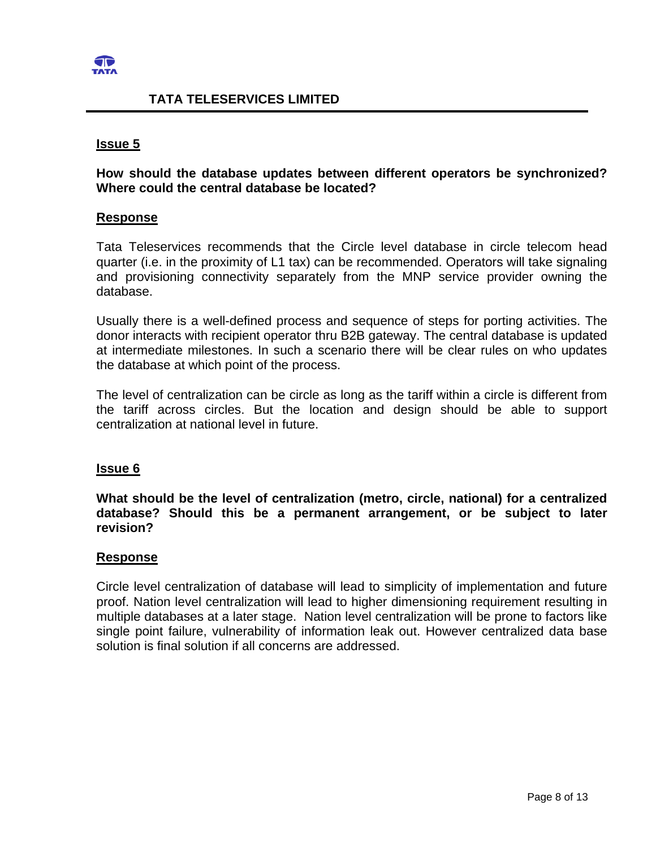

## **TATA TELESERVICES LIMITED**

### **Issue 5**

## **How should the database updates between different operators be synchronized? Where could the central database be located?**

### **Response**

Tata Teleservices recommends that the Circle level database in circle telecom head quarter (i.e. in the proximity of L1 tax) can be recommended. Operators will take signaling and provisioning connectivity separately from the MNP service provider owning the database.

Usually there is a well-defined process and sequence of steps for porting activities. The donor interacts with recipient operator thru B2B gateway. The central database is updated at intermediate milestones. In such a scenario there will be clear rules on who updates the database at which point of the process.

The level of centralization can be circle as long as the tariff within a circle is different from the tariff across circles. But the location and design should be able to support centralization at national level in future.

### **Issue 6**

**What should be the level of centralization (metro, circle, national) for a centralized database? Should this be a permanent arrangement, or be subject to later revision?** 

### **Response**

Circle level centralization of database will lead to simplicity of implementation and future proof. Nation level centralization will lead to higher dimensioning requirement resulting in multiple databases at a later stage. Nation level centralization will be prone to factors like single point failure, vulnerability of information leak out. However centralized data base solution is final solution if all concerns are addressed.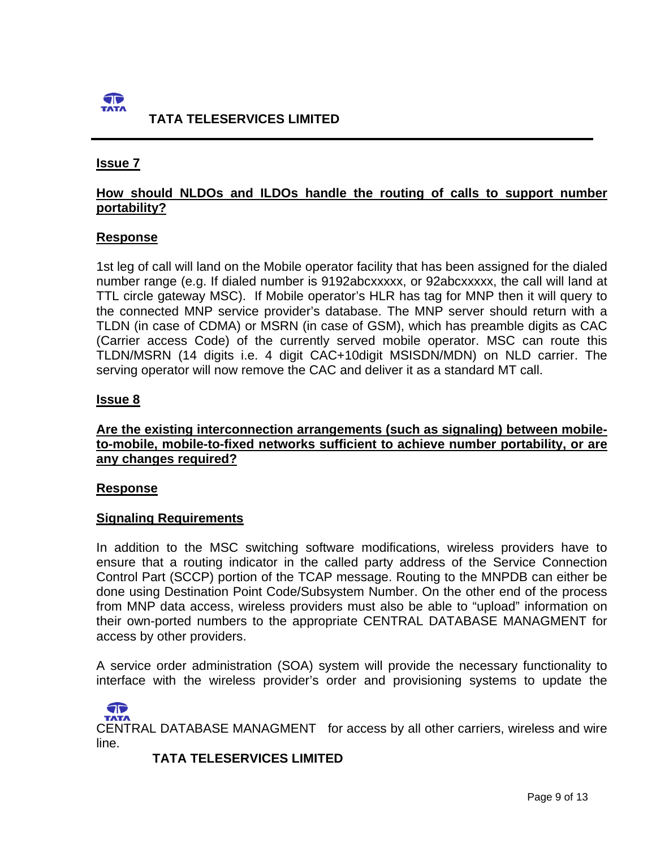

# **How should NLDOs and ILDOs handle the routing of calls to support number portability?**

## **Response**

1st leg of call will land on the Mobile operator facility that has been assigned for the dialed number range (e.g. If dialed number is 9192abcxxxxx, or 92abcxxxxx, the call will land at TTL circle gateway MSC). If Mobile operator's HLR has tag for MNP then it will query to the connected MNP service provider's database. The MNP server should return with a TLDN (in case of CDMA) or MSRN (in case of GSM), which has preamble digits as CAC (Carrier access Code) of the currently served mobile operator. MSC can route this TLDN/MSRN (14 digits i.e. 4 digit CAC+10digit MSISDN/MDN) on NLD carrier. The serving operator will now remove the CAC and deliver it as a standard MT call.

## **Issue 8**

# **Are the existing interconnection arrangements (such as signaling) between mobileto-mobile, mobile-to-fixed networks sufficient to achieve number portability, or are any changes required?**

## **Response**

 $\sqrt{2}$ 

## **Signaling Requirements**

In addition to the MSC switching software modifications, wireless providers have to ensure that a routing indicator in the called party address of the Service Connection Control Part (SCCP) portion of the TCAP message. Routing to the MNPDB can either be done using Destination Point Code/Subsystem Number. On the other end of the process from MNP data access, wireless providers must also be able to "upload" information on their own-ported numbers to the appropriate CENTRAL DATABASE MANAGMENT for access by other providers.

A service order administration (SOA) system will provide the necessary functionality to interface with the wireless provider's order and provisioning systems to update the

CENTRAL DATABASE MANAGMENT for access by all other carriers, wireless and wire line.

 **TATA TELESERVICES LIMITED**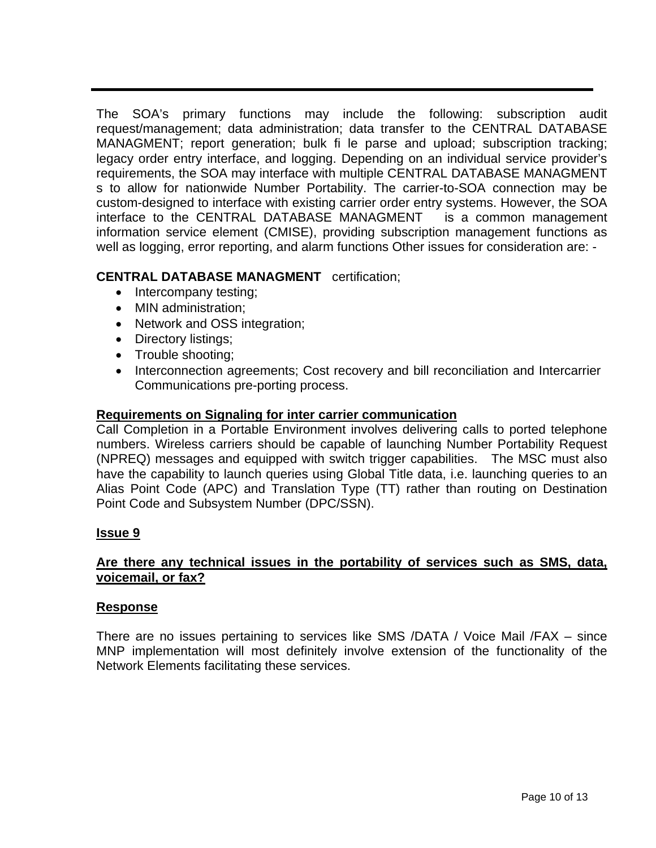The SOA's primary functions may include the following: subscription audit request/management; data administration; data transfer to the CENTRAL DATABASE MANAGMENT; report generation; bulk fi le parse and upload; subscription tracking; legacy order entry interface, and logging. Depending on an individual service provider's requirements, the SOA may interface with multiple CENTRAL DATABASE MANAGMENT s to allow for nationwide Number Portability. The carrier-to-SOA connection may be custom-designed to interface with existing carrier order entry systems. However, the SOA interface to the CENTRAL DATABASE MANAGMENT is a common management information service element (CMISE), providing subscription management functions as well as logging, error reporting, and alarm functions Other issues for consideration are: -

# **CENTRAL DATABASE MANAGMENT** certification;

- Intercompany testing;
- MIN administration:
- Network and OSS integration;
- Directory listings;
- Trouble shooting;
- Interconnection agreements; Cost recovery and bill reconciliation and Intercarrier Communications pre-porting process.

# **Requirements on Signaling for inter carrier communication**

Call Completion in a Portable Environment involves delivering calls to ported telephone numbers. Wireless carriers should be capable of launching Number Portability Request (NPREQ) messages and equipped with switch trigger capabilities. The MSC must also have the capability to launch queries using Global Title data, i.e. launching queries to an Alias Point Code (APC) and Translation Type (TT) rather than routing on Destination Point Code and Subsystem Number (DPC/SSN).

# **Issue 9**

# **Are there any technical issues in the portability of services such as SMS, data, voicemail, or fax?**

## **Response**

There are no issues pertaining to services like SMS /DATA / Voice Mail /FAX – since MNP implementation will most definitely involve extension of the functionality of the Network Elements facilitating these services.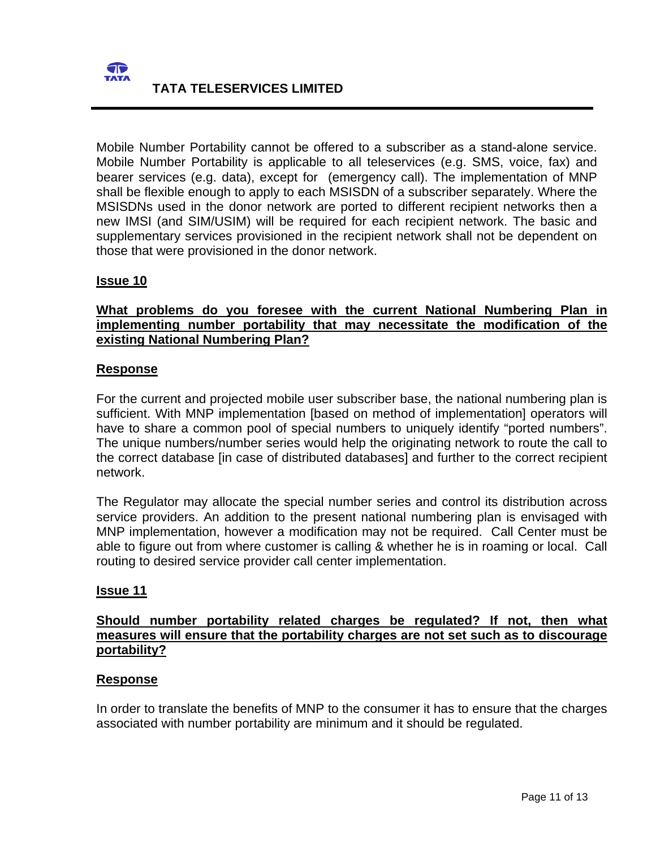

Mobile Number Portability cannot be offered to a subscriber as a stand-alone service. Mobile Number Portability is applicable to all teleservices (e.g. SMS, voice, fax) and bearer services (e.g. data), except for (emergency call). The implementation of MNP shall be flexible enough to apply to each MSISDN of a subscriber separately. Where the MSISDNs used in the donor network are ported to different recipient networks then a new IMSI (and SIM/USIM) will be required for each recipient network. The basic and supplementary services provisioned in the recipient network shall not be dependent on those that were provisioned in the donor network.

## **Issue 10**

# **What problems do you foresee with the current National Numbering Plan in implementing number portability that may necessitate the modification of the existing National Numbering Plan?**

## **Response**

For the current and projected mobile user subscriber base, the national numbering plan is sufficient. With MNP implementation [based on method of implementation] operators will have to share a common pool of special numbers to uniquely identify "ported numbers". The unique numbers/number series would help the originating network to route the call to the correct database [in case of distributed databases] and further to the correct recipient network.

The Regulator may allocate the special number series and control its distribution across service providers. An addition to the present national numbering plan is envisaged with MNP implementation, however a modification may not be required. Call Center must be able to figure out from where customer is calling & whether he is in roaming or local. Call routing to desired service provider call center implementation.

## **Issue 11**

## **Should number portability related charges be regulated? If not, then what measures will ensure that the portability charges are not set such as to discourage portability?**

## **Response**

In order to translate the benefits of MNP to the consumer it has to ensure that the charges associated with number portability are minimum and it should be regulated.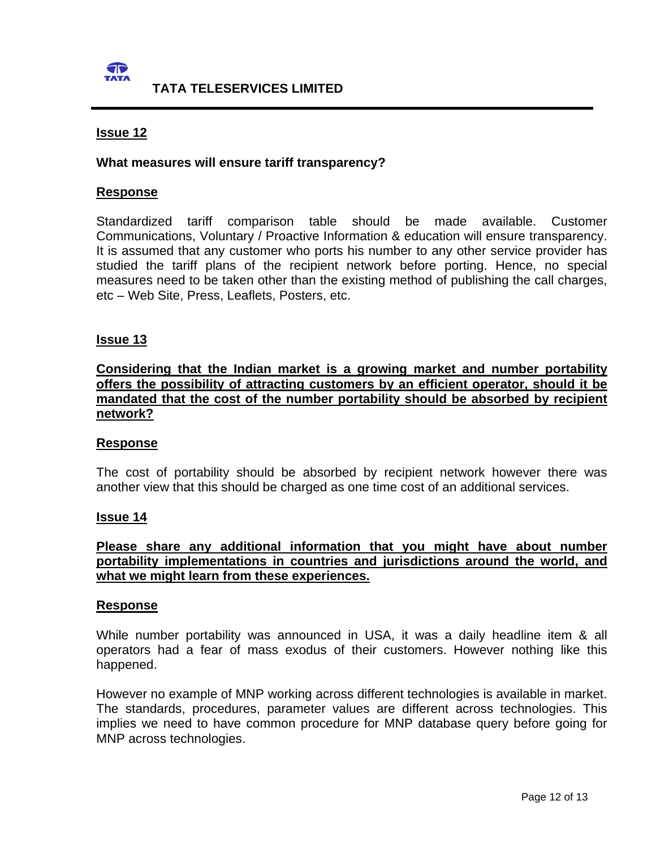

### **What measures will ensure tariff transparency?**

### **Response**

Standardized tariff comparison table should be made available. Customer Communications, Voluntary / Proactive Information & education will ensure transparency. It is assumed that any customer who ports his number to any other service provider has studied the tariff plans of the recipient network before porting. Hence, no special measures need to be taken other than the existing method of publishing the call charges, etc – Web Site, Press, Leaflets, Posters, etc.

### **Issue 13**

# **Considering that the Indian market is a growing market and number portability offers the possibility of attracting customers by an efficient operator, should it be mandated that the cost of the number portability should be absorbed by recipient network?**

### **Response**

The cost of portability should be absorbed by recipient network however there was another view that this should be charged as one time cost of an additional services.

### **Issue 14**

## **Please share any additional information that you might have about number portability implementations in countries and jurisdictions around the world, and what we might learn from these experiences.**

#### **Response**

While number portability was announced in USA, it was a daily headline item & all operators had a fear of mass exodus of their customers. However nothing like this happened.

However no example of MNP working across different technologies is available in market. The standards, procedures, parameter values are different across technologies. This implies we need to have common procedure for MNP database query before going for MNP across technologies.